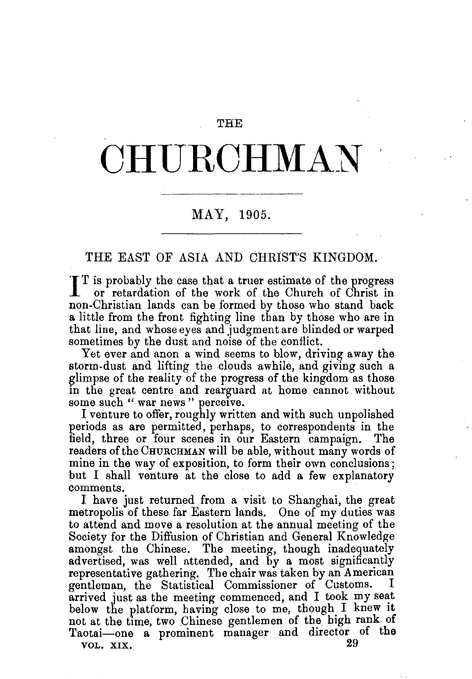## THE

## CHURCHMAN

## MAY, 1905.

THE EAST OF ASIA AND CHRIST'S KINGDOM.

I T is probably the case that a truer estimate of the progress or retardation of the work of the Church of Christ in non-Christian lands can be formed by those who stand back a little from the front fighting line than by those who are in that line, and whose eyes and judgment are blinded or warped sometimes by the dust and noise of the conflict.

Yet ever and anon a wind seems to blow, driving away the storm-dust and lifting the clouds awhile, and giving such a glimpse of the reality of the progress of the kingdom as those in the great centre and rearguard at home cannot without some such " war news " perceive.

I venture to offer, roughly written and with such unpolished periods as are permitted, perhaps, to correspondents in the field, three or four scenes in our Eastern campaign. The readers of the CHURCHMAN will be able, without many words of mine in the way of exposition, to form their own conclusions; but I shall venture at the close to add a few explanatory comments.

I have just returned from a visit to Shanghai, the great metropolis of these far Eastern lands. One of my duties was to attend and move a resolution at the annual meeting of the Society for the Diffusion of Christian and General Knowledge amongst the Chinese. The meeting, though inadequately advertised, was well attended, and by a most significantly representative gathering. The chair was taken by an American gentleman, the Statistical Commissioner of Customs. arrived just as the meeting commenced, and I took my seat below the platform, having close to me, though I knew It not at the time, two Chinese gentlemen of the high rank of Taotai-one a prominent manager and director of the VOL. XIX.  $29$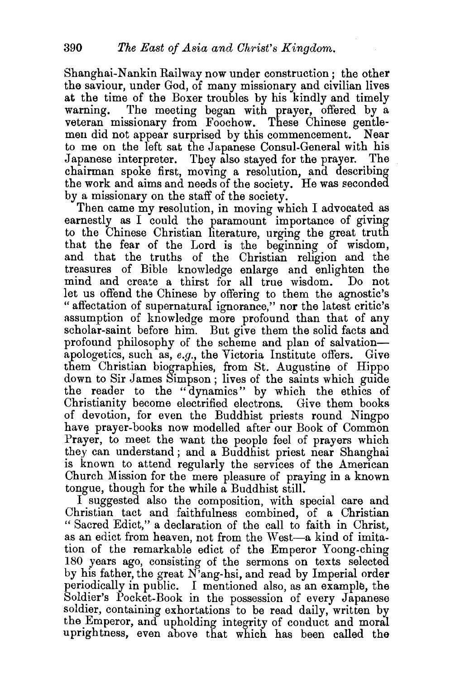Shanghai-Nankin Railway now under construction; the other the saviour, under God, of many missionary and civilian lives at the time of the Boxer troubles by his kindly and timely warning. The meeting began with prayer, offered by a veteran missionary from Foochow. These Chinese gentlemen did not appear surprised by this commencement. Near to me on the left sat the Japanese Consul-General with his Japanese interpreter. They also stayed for the prayer. chairman spoke first, moving a resolution, and describing the work and aims and needs of the society. He was seconded by a missionary on the staff of the society.

Then came my resolution, in moving which I advocated as earnestly as  $I$  could the paramount importance of giving to the Chinese Christian literature, urging the great truth that the fear of the Lord is the beginning of wisdom, and that the truths of the Christian religion and the treasures of Bible knowledge enlarge and enlighten the mind and create a thirst for all true wisdom. Do not let us offend the Chinese by offering to them the agnostic's " affectation of supernatural ignorance," nor the latest critic's assumption of knowledge more profound than that of any scholar-saint before him. But give them the solid facts and profound philosophy of the scheme and plan of salvationapologetics, such as, *e.g.*, the Victoria Institute offers. Give them Christian biographies, from St. Augustine of Hippo down to Sir James Simpson; lives of the saints which guide the reader to the "dynamics" by which the ethics of Christianity become electrified electrons. Give them books of devotion, for even the Buddhist priests round Ningpo have prayer-books now modelled after our Book of Common Prayer, to meet the want the people feel of prayers which they can understand; and a Buddhist priest near Shanghai is known to attend regularly the services of the American Church Mission for the mere pleasure of praying in a known tongue, though for the while a Buddhist still.

I suggested also the composition, with special care and Christian tact and faithfulness combined, of a Christian "Sacred Edict," a declaration of the call to faith in Christ, as an edict from heaven, not from the West-a kind of imitation of the remarkable edict of the Emperor Yoong-ching 180 years ago, consisting of the sermons on texts selected by his father, the great N'ang-hsi, and read by Imperial order periodically in public. I mentioned also, as an example, the Soldier's Pocket-Book in the possession of every Japanese soldier, containing exhortations to be read daily, written by the Emperor, and upholding integrity of conduct and moral uprightness, even above that which has been called the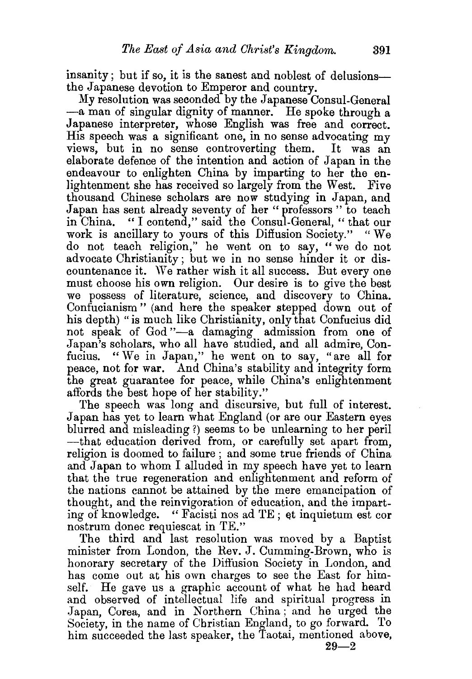insanity; but if so, it is the sanest and noblest of delusionsthe Japanese devotion to Emperor and country.

My resolution was seconded by the Japanese Consul-General -a man of singular dignity of manner. He spoke through a Japanese interpreter, whose English was free and correct. His speech was a significant one, in no sense advocating my views, but in no sense controverting them. It was an elaborate defence of the intention and action of Japan in the endeavour to enlighten China by imparting to her the enlightenment she has received so largely from the West. Five thousand Chinese scholars are now studying in Japan, and Japan has sent already seventy of her "professors" to teach in China. "I contend," said the Consul-General, "that our work is ancillary to yours of this Diffusion Society." "We do not teach religion," he went on to say, "we do not advocate Christianity; but we in no sense hinder it or discountenance it. We rather wish it all success. But every one must choose his own religion. Our desire is to give the best we possess of literature, science, and discovery to China. Confucianism" (and here the speaker stepped down out of his depth) "is much like Christianity, only that Confucius did not speak of God "-a damaging admission from one of Japan's scholars, who all have studied, and all admire, Confucius. "We in Japan," he went on to say, "are all for peace, not for war. And China's stability and integrity form the great guarantee for peace, while China's enlightenment affords the best hope of her stability."

The speech was long and discursive, but full of interest. Japan has yet to learn what England (or are our Eastern eyes blurred and misleading ?) seems to be unlearning to her peril ---that education derived from, or carefully set apart from. religion is doomed to failure ; and some true friends of China and Japan to whom I alluded in my speech have yet to learn that the true regeneration and enlightenment and reform of the nations cannot be attained by the mere emancipation of thought, and the reinvigoration of education, and the imparting of knowledge. "Facisti nos ad TE; et inquietum est cor nostrum donee requiescat in TE."

The third and last resolution was moved by a Baptist minister from London, the Rev. J. Cumming-Brown, who is honorary secretary of the Diffusion Society in London, and has come out at his own charges to see the East for himself. He gave us a graphic account of what he had heard and observed of intellectual life and spiritual progress in Japan, Corea, and in Northern China; and he urged the Society, in the name of Christian England, to go forward. To him succeeded the last speaker, the Taotai, mentioned above,

 $29 - 2$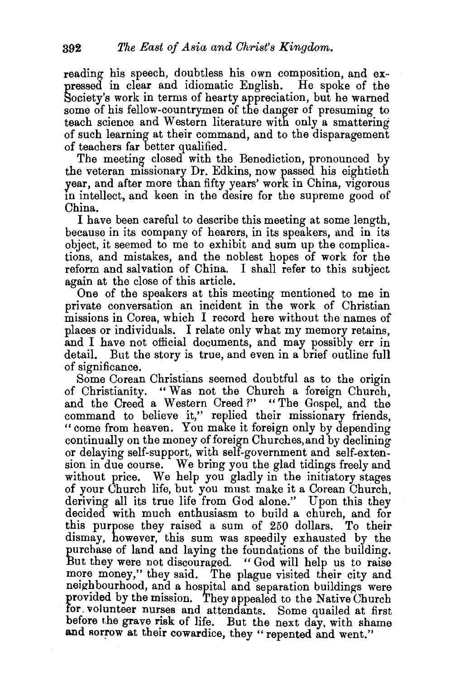reading his speech, doubtless his own composition, and expressed in clear and idiomatic English. He spoke of the Society's work in terms of hearty appreciation, but he warned some of his fellow-countrymen of the danger of presuming to teach science and Western literature with only a smattering of such learning at their command, and to the disparagement of teachers far better qualified.

The meeting closed with the Benediction, pronounced by the veteran missionary Dr. Edkins, now passed his eightieth year, and after more than fifty years' work in China, vigorous tn intellect, and keen in the desire for the supreme good of China.

I have been careful to describe this meeting at some length, because in its company of hearers, in its speakers, and in its object, it seemed to me to exhibit and sum up the complications, and mistakes, and the noblest hopes of work for the reform and salvation of China. I shall refer to this subject again at the close of this article.

One of the speakers at this meeting mentioned to me in private conversation an incident in the work of Christian missions in Corea, which I record here without the names of places or individuals. I relate only what my memory retains, and I have not official documents, and may possibly err in detail. But the story is true, and even in a brief outline full of significance.

Some Corean Christians seemed doubtful as to the origin of Christianity. "Was not the Church a foreign Church, and the Creed a Western Creed ?" " The Gospel, and the command to believe it," replied their missionary friends, "come from heaven. You make it foreign only by depending continually on the money of foreign Churches, and by declining or delaying self-support, with self-government and self-extension in due course. We bring you the glad tidings freely and without price. We help you gladly in the initiatory stages of your Church life, but you must make it a Corean Church, deriving all its true life from God alone." Upon this they decided with much enthusiasm to build a church, and for this purpose they raised a sum of 250 dollars. To their dismay, however, this sum was speedily exhausted by the purchase of land and laying the foundations of the building. But they were not discouraged. "God will help us to raise more money," they said. The plague visited their city and neighbourhood, and a hospital and separation buildings were provided by the mission. They appealed to the Native Church for volunteer nurses and attendants. Some quailed at first before the grave risk of life. But the next day, with shame and sorrow at their cowardice, they "repented and went."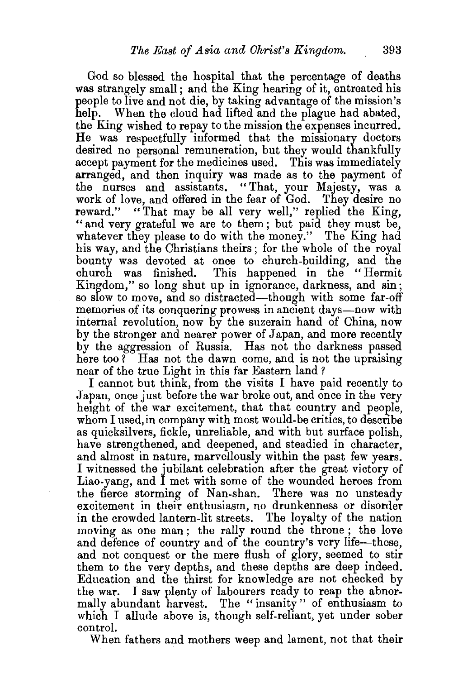God so blessed the hospital that the percentage of deaths was strangely small; and the King hearing of it, entreated his people to live and not die, by taking advantage of the mission's help. When the cloud had lifted and the plague had abated, the King wished to repay to the mission the expenses incurred. He was respectfully informed that the missionary doctors desired no personal remuneration, but they would thankfully accept payment for the medicines used. This was immediately arranged, and then inquiry was made as to the payment of the nurses and assistants. "That, your Majesty, was a work of love, and offered in the fear of God. They desire no reward." "That may be all very well," replied the King, "and very grateful we are to them; but paid they must be, whatever they please to do with the money." The King had his way, and the Christians theirs; for the whole of the royal bounty wa.s devoted at once to church-building, and the church was finished. This happened in the "Hermit Kingdom," so long shut up in ignorance, darkness, and sin; so slow to move, and so distracted-though with some far-off memories of its conquering prowess in ancient days—now with internal revolution, now by the suzerain hand of China, now by the stronger and nearer power of Japan, and more recently by the aggression of Russia. Has not the darkness passed here too? Has not the dawn come, and is not the upraising near of the true Light in this far Eastern land ?

I cannot but think, from the visits I have paid recently to Japan, once just before the war broke out, and once in the very height of the war excitement, that that country and people, whom I used, in company with most would-be critics, to describe as quicksilvers, fickle, unreliable, and with but surface polish, have strengthened, and deepened, and steadied in character, and almost in nature, marvellously within the past few years. I witnessed the jubilant celebration after the great victory of Liao-yang, and I met with some of the wounded heroes from the fierce storming of Nan-shan. There was no unsteady excitement in their enthusiasm, no drunkenness or disorder in the crowded lantern-lit streets. The loyalty of the nation moving as one man; the rally round the throne; the love and defence of country and of the country's very life-these, and not conquest or the mere flush of glory, seemed to stir them to the very depths, and these depths are deep indeed. Education and the thirst for knowledge are not checked by the war. I saw plenty of labourers ready to reap the abnormally abundant harvest. The "insanity" of enthusiasm to which I allude above is, though self-reliant, yet under sober control.

When fathers and mothers weep and lament, not that their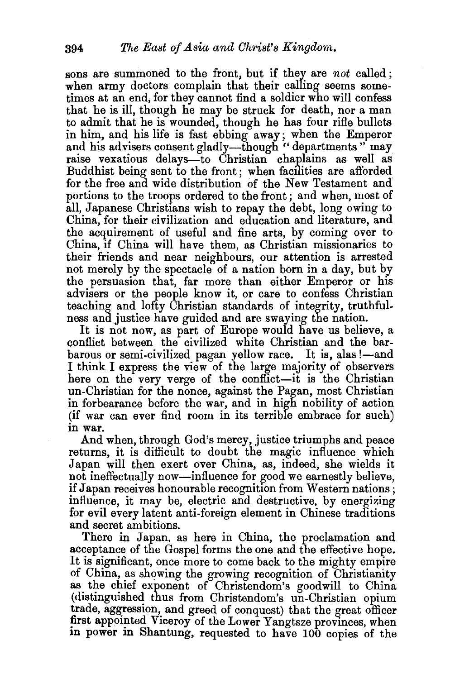sons are summoned to the front, but if they are *not* called; when army doctors complain that their calling seems sometimes at an end, for they cannot find a soldier who will confess that he is ill, though he may be struck for death, nor a man to admit that he is wounded, though he has four rifle bullets in him, and his life is fast ebbing away; when the Emperor and his advisers consent gladly-though "departments" may raise vexatious delays-to Christian chaplains as well as Buddhist being sent to the front; when facilities are afforded for the free and wide distribution of the New Testament and portions to the troops ordered to the front; and when, most of all, Japanese Christians wish to repay the debt, long owing to China, for their civilization and education and literature, and the acquirement of useful and fine arts, by coming over to China, if China will have them, as Christian missionaries to their friends and near neighbours, our attention is arrested not merely by the spectacle of a nation born in a day, but by the persuasion that, far more than either Emperor or his advisers or the people know it, or care to confess Christian teaching and lofty Christian standards of integrity, truthfulness and justice have guided and are swaying the nation.

It is not now, as part of Europe would have us believe, a conflict between the civilized white Christian and the barbarous or semi-civilized pagan yellow race. It is, alas !—and I think I express the view of the large majority of observers here on the very verge of the conflict—it is the Christian un-Christian for the nonce, against the Pagan, most Christian in forbearance before the war, and in high nobility of action (if war can ever find room in its terrible embrace for such) in war.

And when, through God's mercy, justice triumphs and peace returns, it is difficult to doubt the magic influence which Japan will then exert over China, as, indeed, she wields it not ineffectually now—influence for good we earnestly believe, if Japan receives honourable recognition from Western nations ; influence, it may be, electric and destructive, by energizing for evil every latent anti-foreign element in Chinese traditions and secret ambitions.

There in Japan, as here in China, the proclamation and acceptance of the Gospel forms the one and the effective hope. It is significant, once more to come back to the mighty empire of China, as showing the growing recognition of Christianity as the chief exponent of Christendom's goodwill to China (distinguished thus from Christendom's un-Christian opium trade, aggression, and greed of conquest) that the great officer first appointed Viceroy of the Lower Yangtsze provinces, when in power in Shantung, requested to have 100 copies of the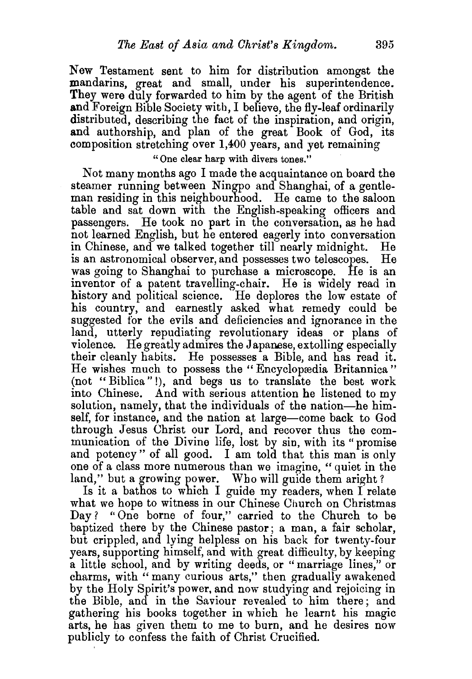New Testament sent to him for distribution amongst the mandarins, great and small, under his superintendence. They were duly forwarded to him by the agent of the British and Foreign Bible Society with, I believe, the fly-leaf ordinarily distributed, describing the fact of the inspiration, and origin, and authorship, and plan of the great Book of God, its composition stretching over 1,400 years, and yet remaining

"One clear harp with divers tones."

Not many months ago I made the acquaintance on board the steamer running between Ningpo and Shanghai, of a gentleman residing in this neighbourhood. He came to the saloon table and sat down with the English-speaking officers and passengers. He took no part in the conversation, as he had not learned English, but he entered eagerly into conversation in Chinese, and we talked together till nearly midnight. He is an astronomical observer, and possesses two telescopes. He was going to Shanghai to purchase a microscope. He is an inventor of a patent travelling-chair. He is widely read in history and political science. He deplores the low estate of his country, and earnestly asked what remedy could be suggested for the evils and deficiencies and ignorance in the land, utterly repudiating revolutionary ideas or plans of violence. He greatly admires the Japanese, extolling especially their cleanly habits. He possesses a Bible, and has read it. He wishes much to possess the "Encyclopædia Britannica" (not "Biblica" !), and begs us to translate the best work into Chinese. And with serious attention he listened to my solution, namely, that the individuals of the nation—he himself, for instance, and the nation at large-come back to God through Jesus Christ our Lord, and recover thus the communication of the Divine life, lost by sin, with its "promise and potency" of all good. I am told that this man is only one of a class more numerous than we imagine, "quiet in the land," but a growing power. Who will guide them aright?

Is it a bathos to which I guide my readers, when I relate what we hope to witness in our Chinese Church on Christmas Day? "One borne of four," carried to the Church to be baptized there by the Chinese pastor; a man, a fair scholar, but crippled, and lying helpless on his back for twenty-four years, supporting himself, and with great difficulty, by keeping a little school, and by writing deeds, or "marriage lines," or charms, with "many curious arts," then gradually awakened by the Holy Spirit's power, and now studying and rejoicing in the Bible, and in the Saviour revealed to him there; and gathering his books together in which he learnt his magic arts, he has given them to me to burn, and he desires now publicly to confess the faith of Christ Crucified.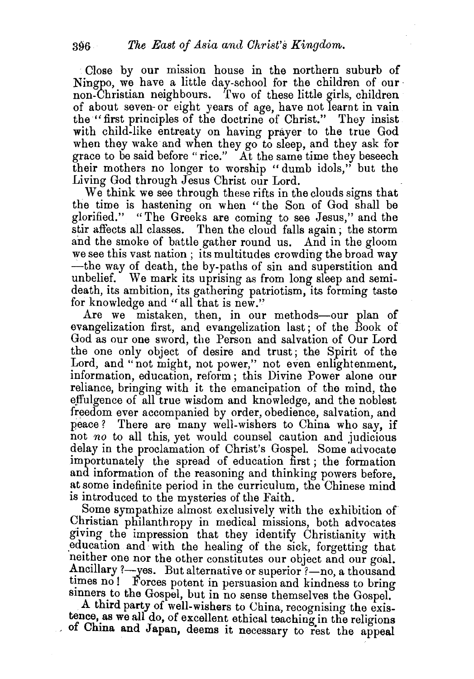Close by our mission house in the northern suburb of Ningpo, we have a little day-school for the children of our· non-Christian neighbours. Two of these little girls, children of about seven- or eight years of age, have not learnt in vain the "first principles of the doctrine of Christ." They insist with child-like entreaty on having prayer to the true God when they wake and when they go to sleep, and they ask for grace to be said before "rice." At the same time they beseech their mothers no longer to worship "dumb idols," but the Living God through Jesus Christ our Lord.

We think we see through these rifts in the clouds signs that the time is hastening on when "the Son of God shall be glorified." "The Greeks are coming to see Jesus," and the stir affects all classes. Then the cloud falls again ; the storm and the smoke of battle gather round us. And in the gloom we see this vast nation ; its multitudes crowding the broad way -the way of death, the by-paths of sin and superstition and unbelief. We mark its uprising as from long sleep and semideath, its ambition, its gathering patriotism, its forming taste for knowledge and "all that is new."

Are we mistaken, then, in our methods-our plan of evangelization first, and evangelization last ; of the Book of God as our one sword, the Person and salvation of Our Lord the one only object of desire and trust; the Spirit of the Lord, and "not might, not power," not even enlightenment, information, education, reform; this Divine Power alone our reliance, bringing with it the emancipation of the mind, the effulgence of all true wisdom and knowledge, and the noblest freedom ever accompanied by order, obedience, salvation, and peace? There are many well-wishers to China who say, if not *no* to all this, yet would counsel caution and judicious delay in the proclamation of Christ's Gospel. Some advocate importunately the spread of education first ; the formation and information of the reasoning and thinking powers before, at some indefinite period in the curriculum, the Chinese mind is introduced to the mysteries of the Faith.

Some sympathize almost exclusively with the exhibition of Christian philanthropy in medical missions, both advocates giving the impression that they identify Christianity with education and with the healing of the sick, forgetting that neither one nor the other constitutes our object and our goal. Ancillary ?- yes. But alternative or superior ?- no, a thousand times no! Forces potent in persuasion and kindness to bring sinners to the Gospel, but in no sense themselves the Gospel.

A third party of well-wishers to China, recognising the existence, as we all do, of excellent ethical teaching in the religions of China and Japan, deems it necessary to rest the appeal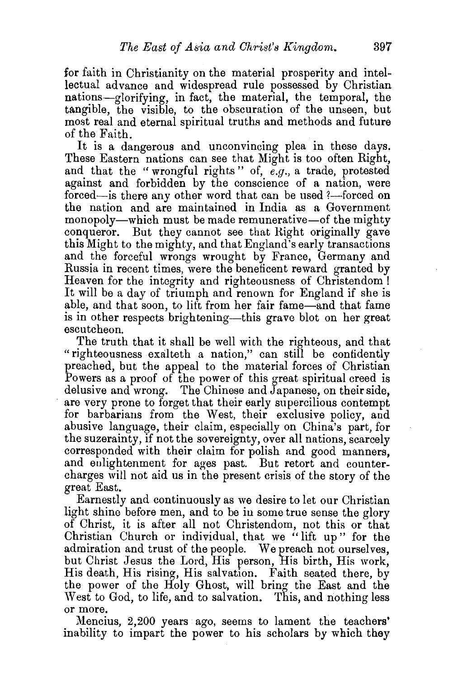for faith in Christianity on the material prosperity and intellectual advance and widespread rule possessed by Christian nations-glorifying, in fact, the material, the temporal, the tangible, the visible, to the obscuration of the unseen, but most real and eternal spiritual truths and methods and future of the Faith.

It is a dangerous and unconvincing plea in these days. These Eastern nations can see that Might is too often Right, and that the "wrongful rights" of, e.g., a trade, protested against and forbidden by the conscience of a nation, were forced—is there any other word that can be used ?—forced on the nation and are maintained in India as a Government monopoly—which must be made remunerative—of the mighty conqueror. But they cannot see that Hight originally gave this Might to the mighty, and that England's early transactions and the forceful wrongs wrought by France, Germany and Russia in recent times, were the beneficent reward granted by Heaven for the integrity and righteousness of Christendom ! It will be a day of triumph and renown for England if she is able, and that soon, to lift from her fair fame-and that fame is in other respects brightening—this grave blot on her great escutcheon.

The truth that it shall be well with the righteous, and that "righteousness exa1teth a nation," can still be confidently preached, but the appeal to the material forces of Christian Powers as a proof of the power of this great spiritual creed is delusive and wrong. The Chinese and Japanese, on their side, are very prone to forget that their early supercilious contempt for barbarians from the West, their exclusive policy, and abusive language, their claim, especially on China's part, for the suzerainty, if not the sovereignty, over all nations, scarcely corresponded with their claim for polish and good manners, and enlightenment for ages past. But retort and countercharges will not aid us in the present crisis of the story of the great East.

Earnestly and continuously as we desire to let our Christian light shine before men, and to be in some true sense the glory of Christ, it is after all not Christendom, not this or that Christian Church or individual, that we "lift up" for the admiration and trust of the people. We preach not ourselves, but Christ Jesus the Lord, His person, His birth, His work, His death, His rising, His salvation. Faith seated there, by the power of the Holy Ghost, will bring the East and the West to God, to life, and to salvation. This, and nothing less or more.

Mencius, 2,200 years ago, seems to lament the teachers' inability to impart the power to his scholars by which they